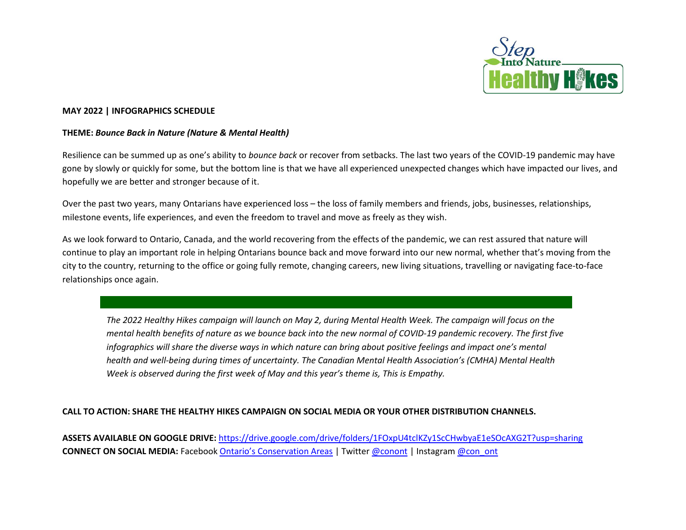

## **MAY 2022 | INFOGRAPHICS SCHEDULE**

## **THEME:** *Bounce Back in Nature (Nature & Mental Health)*

Resilience can be summed up as one's ability to *bounce back* or recover from setbacks. The last two years of the COVID-19 pandemic may have gone by slowly or quickly for some, but the bottom line is that we have all experienced unexpected changes which have impacted our lives, and hopefully we are better and stronger because of it.

Over the past two years, many Ontarians have experienced loss – the loss of family members and friends, jobs, businesses, relationships, milestone events, life experiences, and even the freedom to travel and move as freely as they wish.

As we look forward to Ontario, Canada, and the world recovering from the effects of the pandemic, we can rest assured that nature will continue to play an important role in helping Ontarians bounce back and move forward into our new normal, whether that's moving from the city to the country, returning to the office or going fully remote, changing careers, new living situations, travelling or navigating face-to-face relationships once again.

*The 2022 Healthy Hikes campaign will launch on May 2, during Mental Health Week. The campaign will focus on the mental health benefits of nature as we bounce back into the new normal of COVID-19 pandemic recovery. The first five infographics will share the diverse ways in which nature can bring about positive feelings and impact one's mental health and well-being during times of uncertainty. The Canadian Mental Health Association's (CMHA) Mental Health Week is observed during the first week of May and this year's theme is, This is Empathy.*

## **CALL TO ACTION: SHARE THE HEALTHY HIKES CAMPAIGN ON SOCIAL MEDIA OR YOUR OTHER DISTRIBUTION CHANNELS.**

**ASSETS AVAILABLE ON GOOGLE DRIVE:** <https://drive.google.com/drive/folders/1FOxpU4tclKZy1ScCHwbyaE1eSOcAXG2T?usp=sharing> **CONNECT ON SOCIAL MEDIA:** Facebook [Ontario's Conservation Areas](https://www.facebook.com/Ontarios-Conservation-Areas-126861190733330/) | Twitter [@conont](https://twitter.com/conont) | Instagram [@con\\_ont](https://www.instagram.com/con_ont/)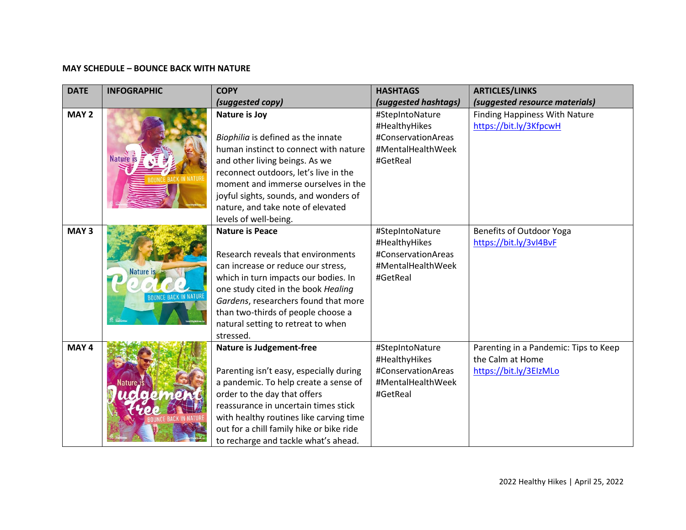## **MAY SCHEDULE – BOUNCE BACK WITH NATURE**

| <b>DATE</b>      | <b>INFOGRAPHIC</b>  | <b>COPY</b>                              | <b>HASHTAGS</b>      | <b>ARTICLES/LINKS</b>                 |
|------------------|---------------------|------------------------------------------|----------------------|---------------------------------------|
|                  |                     | (suggested copy)                         | (suggested hashtags) | (suggested resource materials)        |
| MAY <sub>2</sub> |                     | <b>Nature is Joy</b>                     | #StepIntoNature      | <b>Finding Happiness With Nature</b>  |
|                  |                     |                                          | #HealthyHikes        | https://bit.ly/3KfpcwH                |
|                  |                     | Biophilia is defined as the innate       | #ConservationAreas   |                                       |
|                  |                     | human instinct to connect with nature    | #MentalHealthWeek    |                                       |
|                  | <b>Nature</b> is    | and other living beings. As we           | #GetReal             |                                       |
|                  |                     | reconnect outdoors, let's live in the    |                      |                                       |
|                  |                     | moment and immerse ourselves in the      |                      |                                       |
|                  |                     | joyful sights, sounds, and wonders of    |                      |                                       |
|                  |                     | nature, and take note of elevated        |                      |                                       |
|                  |                     | levels of well-being.                    |                      |                                       |
| MAY <sub>3</sub> |                     | <b>Nature is Peace</b>                   | #StepIntoNature      | Benefits of Outdoor Yoga              |
|                  |                     |                                          | #HealthyHikes        | https://bit.ly/3vI4BvF                |
|                  |                     | Research reveals that environments       | #ConservationAreas   |                                       |
|                  | <b>Nature is</b>    | can increase or reduce our stress,       | #MentalHealthWeek    |                                       |
|                  |                     | which in turn impacts our bodies. In     | #GetReal             |                                       |
|                  |                     | one study cited in the book Healing      |                      |                                       |
|                  |                     | Gardens, researchers found that more     |                      |                                       |
|                  |                     | than two-thirds of people choose a       |                      |                                       |
|                  |                     | natural setting to retreat to when       |                      |                                       |
|                  |                     | stressed.                                |                      |                                       |
| MAY 4            |                     | <b>Nature is Judgement-free</b>          | #StepIntoNature      | Parenting in a Pandemic: Tips to Keep |
|                  |                     |                                          | #HealthyHikes        | the Calm at Home                      |
|                  |                     | Parenting isn't easy, especially during  | #ConservationAreas   | https://bit.ly/3EIzMLo                |
|                  | Nature <sub>J</sub> | a pandemic. To help create a sense of    | #MentalHealthWeek    |                                       |
|                  | $\bullet$           | order to the day that offers             | #GetReal             |                                       |
|                  |                     | reassurance in uncertain times stick     |                      |                                       |
|                  |                     | with healthy routines like carving time  |                      |                                       |
|                  |                     | out for a chill family hike or bike ride |                      |                                       |
|                  |                     | to recharge and tackle what's ahead.     |                      |                                       |